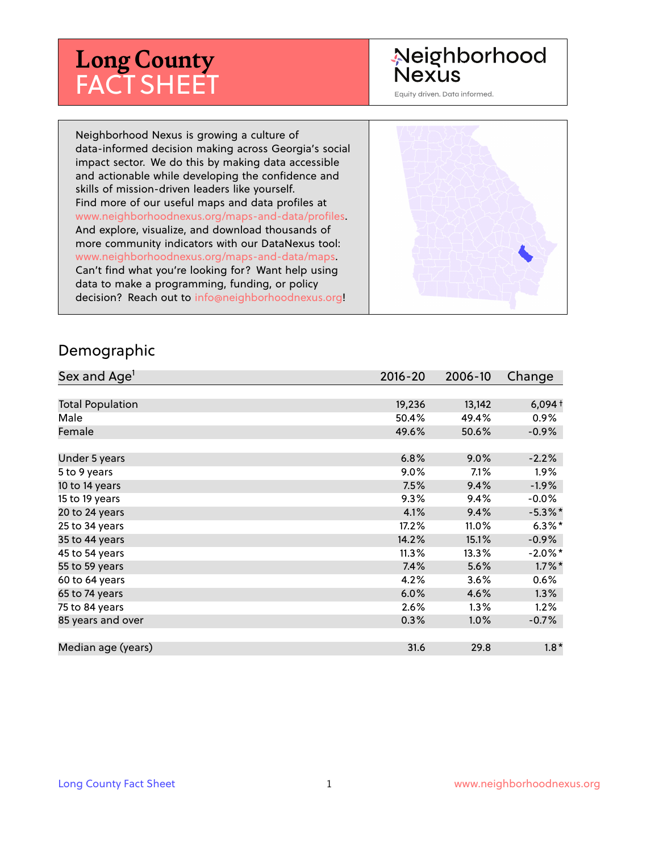# **Long County** FACT SHEET

# Neighborhood **Nexus**

Equity driven. Data informed.

Neighborhood Nexus is growing a culture of data-informed decision making across Georgia's social impact sector. We do this by making data accessible and actionable while developing the confidence and skills of mission-driven leaders like yourself. Find more of our useful maps and data profiles at www.neighborhoodnexus.org/maps-and-data/profiles. And explore, visualize, and download thousands of more community indicators with our DataNexus tool: www.neighborhoodnexus.org/maps-and-data/maps. Can't find what you're looking for? Want help using data to make a programming, funding, or policy decision? Reach out to [info@neighborhoodnexus.org!](mailto:info@neighborhoodnexus.org)



#### Demographic

| Sex and Age <sup>1</sup> | $2016 - 20$ | 2006-10 | Change     |
|--------------------------|-------------|---------|------------|
|                          |             |         |            |
| <b>Total Population</b>  | 19,236      | 13,142  | $6,094+$   |
| Male                     | 50.4%       | 49.4%   | $0.9\%$    |
| Female                   | 49.6%       | 50.6%   | $-0.9\%$   |
|                          |             |         |            |
| Under 5 years            | 6.8%        | 9.0%    | $-2.2%$    |
| 5 to 9 years             | $9.0\%$     | 7.1%    | $1.9\%$    |
| 10 to 14 years           | 7.5%        | 9.4%    | $-1.9\%$   |
| 15 to 19 years           | 9.3%        | 9.4%    | $-0.0\%$   |
| 20 to 24 years           | 4.1%        | 9.4%    | $-5.3\%$ * |
| 25 to 34 years           | 17.2%       | 11.0%   | $6.3\%$ *  |
| 35 to 44 years           | 14.2%       | 15.1%   | $-0.9\%$   |
| 45 to 54 years           | 11.3%       | 13.3%   | $-2.0\%$ * |
| 55 to 59 years           | 7.4%        | 5.6%    | $1.7\%$ *  |
| 60 to 64 years           | 4.2%        | 3.6%    | 0.6%       |
| 65 to 74 years           | 6.0%        | 4.6%    | 1.3%       |
| 75 to 84 years           | 2.6%        | $1.3\%$ | 1.2%       |
| 85 years and over        | 0.3%        | 1.0%    | $-0.7\%$   |
|                          |             |         |            |
| Median age (years)       | 31.6        | 29.8    | $1.8*$     |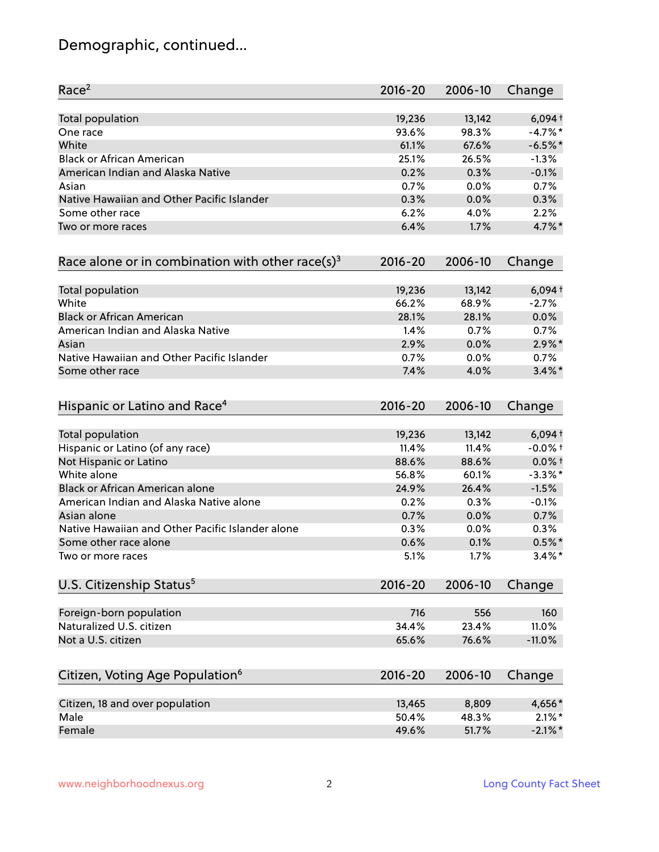# Demographic, continued...

| Race <sup>2</sup>                                   | $2016 - 20$ | 2006-10 | Change     |
|-----------------------------------------------------|-------------|---------|------------|
| <b>Total population</b>                             | 19,236      | 13,142  | $6,094+$   |
| One race                                            | 93.6%       | 98.3%   | $-4.7\%$ * |
| White                                               | 61.1%       | 67.6%   | $-6.5%$ *  |
| <b>Black or African American</b>                    | 25.1%       | 26.5%   | $-1.3%$    |
| American Indian and Alaska Native                   | 0.2%        | 0.3%    | $-0.1%$    |
| Asian                                               | 0.7%        | $0.0\%$ | 0.7%       |
| Native Hawaiian and Other Pacific Islander          | 0.3%        | 0.0%    | 0.3%       |
| Some other race                                     | 6.2%        | 4.0%    | 2.2%       |
| Two or more races                                   | 6.4%        | 1.7%    | 4.7%*      |
| Race alone or in combination with other race(s) $3$ | $2016 - 20$ | 2006-10 | Change     |
| Total population                                    | 19,236      | 13,142  | $6,094+$   |
| White                                               | 66.2%       | 68.9%   | $-2.7%$    |
| <b>Black or African American</b>                    | 28.1%       | 28.1%   | 0.0%       |
| American Indian and Alaska Native                   | 1.4%        | 0.7%    | 0.7%       |
| Asian                                               | 2.9%        | 0.0%    | $2.9\%$ *  |
| Native Hawaiian and Other Pacific Islander          | 0.7%        | 0.0%    | 0.7%       |
| Some other race                                     | 7.4%        | 4.0%    | $3.4\%$ *  |
| Hispanic or Latino and Race <sup>4</sup>            | $2016 - 20$ | 2006-10 | Change     |
| <b>Total population</b>                             | 19,236      | 13,142  | $6,094+$   |
| Hispanic or Latino (of any race)                    | 11.4%       | 11.4%   | $-0.0%$ +  |
| Not Hispanic or Latino                              | 88.6%       | 88.6%   | $0.0\%$ +  |
| White alone                                         | 56.8%       | 60.1%   | $-3.3\%$ * |
| Black or African American alone                     | 24.9%       | 26.4%   | $-1.5%$    |
| American Indian and Alaska Native alone             | 0.2%        | 0.3%    | $-0.1%$    |
| Asian alone                                         | 0.7%        | 0.0%    | 0.7%       |
| Native Hawaiian and Other Pacific Islander alone    | 0.3%        | 0.0%    | 0.3%       |
| Some other race alone                               | 0.6%        | 0.1%    | $0.5%$ *   |
| Two or more races                                   | 5.1%        | 1.7%    | $3.4\%$ *  |
| U.S. Citizenship Status <sup>5</sup>                | $2016 - 20$ | 2006-10 | Change     |
| Foreign-born population                             | 716         | 556     | 160        |
| Naturalized U.S. citizen                            | 34.4%       | 23.4%   | 11.0%      |
| Not a U.S. citizen                                  | 65.6%       | 76.6%   | $-11.0%$   |
| Citizen, Voting Age Population <sup>6</sup>         | $2016 - 20$ | 2006-10 | Change     |
|                                                     |             |         |            |
| Citizen, 18 and over population                     | 13,465      | 8,809   | 4,656*     |
| Male                                                | 50.4%       | 48.3%   | $2.1\%$ *  |
| Female                                              | 49.6%       | 51.7%   | $-2.1\%$ * |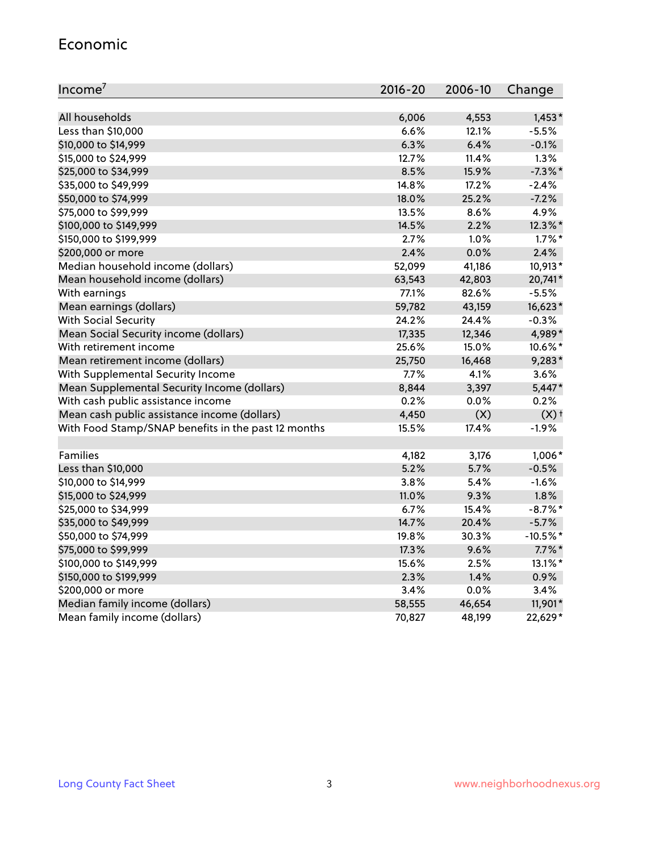#### Economic

| Income <sup>7</sup>                                 | $2016 - 20$ | 2006-10 | Change             |
|-----------------------------------------------------|-------------|---------|--------------------|
|                                                     |             |         |                    |
| All households                                      | 6,006       | 4,553   | $1,453*$           |
| Less than \$10,000                                  | 6.6%        | 12.1%   | $-5.5%$            |
| \$10,000 to \$14,999                                | 6.3%        | 6.4%    | $-0.1%$            |
| \$15,000 to \$24,999                                | 12.7%       | 11.4%   | 1.3%               |
| \$25,000 to \$34,999                                | 8.5%        | 15.9%   | $-7.3\%$ *         |
| \$35,000 to \$49,999                                | 14.8%       | 17.2%   | $-2.4%$            |
| \$50,000 to \$74,999                                | 18.0%       | 25.2%   | $-7.2%$            |
| \$75,000 to \$99,999                                | 13.5%       | 8.6%    | 4.9%               |
| \$100,000 to \$149,999                              | 14.5%       | 2.2%    | 12.3%*             |
| \$150,000 to \$199,999                              | 2.7%        | $1.0\%$ | $1.7\%$ *          |
| \$200,000 or more                                   | 2.4%        | 0.0%    | 2.4%               |
| Median household income (dollars)                   | 52,099      | 41,186  | 10,913*            |
| Mean household income (dollars)                     | 63,543      | 42,803  | 20,741*            |
| With earnings                                       | 77.1%       | 82.6%   | $-5.5%$            |
| Mean earnings (dollars)                             | 59,782      | 43,159  | 16,623*            |
| <b>With Social Security</b>                         | 24.2%       | 24.4%   | $-0.3%$            |
| Mean Social Security income (dollars)               | 17,335      | 12,346  | 4,989*             |
| With retirement income                              | 25.6%       | 15.0%   | 10.6%*             |
| Mean retirement income (dollars)                    | 25,750      | 16,468  | $9,283*$           |
| With Supplemental Security Income                   | 7.7%        | 4.1%    | 3.6%               |
| Mean Supplemental Security Income (dollars)         | 8,844       | 3,397   | $5,447*$           |
| With cash public assistance income                  | 0.2%        | 0.0%    | 0.2%               |
| Mean cash public assistance income (dollars)        | 4,450       | (X)     | $(X)$ <sup>+</sup> |
| With Food Stamp/SNAP benefits in the past 12 months | 15.5%       | 17.4%   | $-1.9%$            |
|                                                     |             |         |                    |
| Families                                            | 4,182       | 3,176   | $1,006*$           |
| Less than \$10,000                                  | 5.2%        | 5.7%    | $-0.5%$            |
| \$10,000 to \$14,999                                | 3.8%        | 5.4%    | $-1.6%$            |
| \$15,000 to \$24,999                                | 11.0%       | 9.3%    | 1.8%               |
| \$25,000 to \$34,999                                | 6.7%        | 15.4%   | $-8.7\%$ *         |
| \$35,000 to \$49,999                                | 14.7%       | 20.4%   | $-5.7%$            |
| \$50,000 to \$74,999                                | 19.8%       | 30.3%   | $-10.5%$ *         |
| \$75,000 to \$99,999                                | 17.3%       | 9.6%    | $7.7\%$ *          |
| \$100,000 to \$149,999                              | 15.6%       | 2.5%    | 13.1%*             |
| \$150,000 to \$199,999                              | 2.3%        | 1.4%    | $0.9\%$            |
| \$200,000 or more                                   | 3.4%        | 0.0%    | 3.4%               |
| Median family income (dollars)                      | 58,555      | 46,654  | 11,901*            |
| Mean family income (dollars)                        | 70,827      | 48,199  | 22,629*            |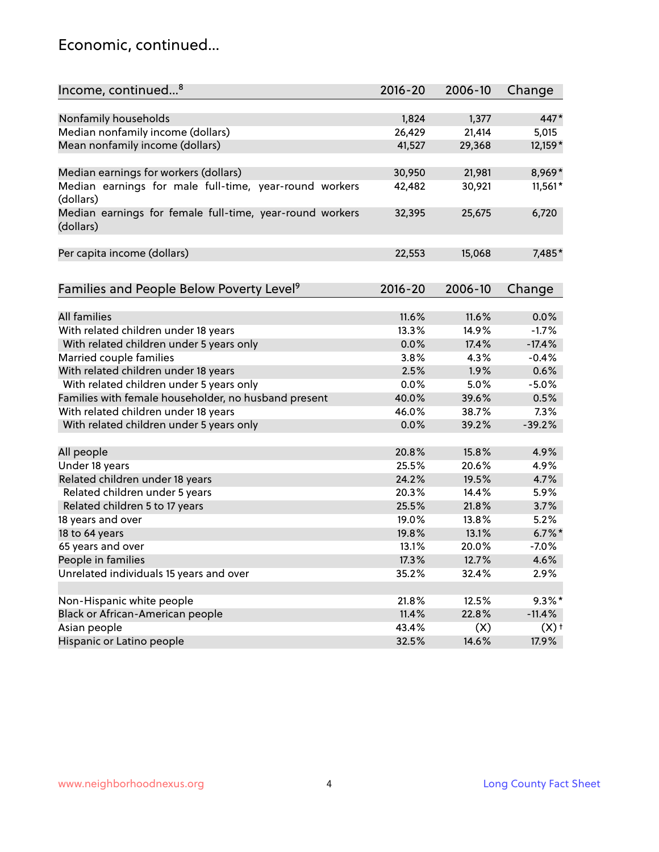### Economic, continued...

| Income, continued <sup>8</sup>                                        | $2016 - 20$ | 2006-10 | Change             |
|-----------------------------------------------------------------------|-------------|---------|--------------------|
|                                                                       |             |         |                    |
| Nonfamily households                                                  | 1,824       | 1,377   | 447*               |
| Median nonfamily income (dollars)                                     | 26,429      | 21,414  | 5,015              |
| Mean nonfamily income (dollars)                                       | 41,527      | 29,368  | 12,159*            |
| Median earnings for workers (dollars)                                 | 30,950      | 21,981  | 8,969*             |
| Median earnings for male full-time, year-round workers<br>(dollars)   | 42,482      | 30,921  | 11,561*            |
| Median earnings for female full-time, year-round workers<br>(dollars) | 32,395      | 25,675  | 6,720              |
| Per capita income (dollars)                                           | 22,553      | 15,068  | 7,485*             |
| Families and People Below Poverty Level <sup>9</sup>                  | $2016 - 20$ | 2006-10 | Change             |
|                                                                       |             |         |                    |
| <b>All families</b>                                                   | 11.6%       | 11.6%   | 0.0%               |
| With related children under 18 years                                  | 13.3%       | 14.9%   | $-1.7%$            |
| With related children under 5 years only                              | 0.0%        | 17.4%   | $-17.4%$           |
| Married couple families                                               | 3.8%        | 4.3%    | $-0.4%$            |
| With related children under 18 years                                  | 2.5%        | 1.9%    | 0.6%               |
| With related children under 5 years only                              | 0.0%        | 5.0%    | $-5.0%$            |
| Families with female householder, no husband present                  | 40.0%       | 39.6%   | 0.5%               |
| With related children under 18 years                                  | 46.0%       | 38.7%   | 7.3%               |
| With related children under 5 years only                              | 0.0%        | 39.2%   | $-39.2%$           |
| All people                                                            | 20.8%       | 15.8%   | 4.9%               |
| Under 18 years                                                        | 25.5%       | 20.6%   | 4.9%               |
| Related children under 18 years                                       | 24.2%       | 19.5%   | 4.7%               |
| Related children under 5 years                                        | 20.3%       | 14.4%   | 5.9%               |
| Related children 5 to 17 years                                        | 25.5%       | 21.8%   | 3.7%               |
| 18 years and over                                                     | 19.0%       | 13.8%   | 5.2%               |
| 18 to 64 years                                                        | 19.8%       | 13.1%   | $6.7\%$ *          |
| 65 years and over                                                     | 13.1%       | 20.0%   | $-7.0%$            |
| People in families                                                    | 17.3%       | 12.7%   | 4.6%               |
| Unrelated individuals 15 years and over                               | 35.2%       | 32.4%   | 2.9%               |
|                                                                       |             |         |                    |
| Non-Hispanic white people                                             | 21.8%       | 12.5%   | $9.3\%$ *          |
| Black or African-American people                                      | 11.4%       | 22.8%   | $-11.4%$           |
| Asian people                                                          | 43.4%       | (X)     | $(X)$ <sup>+</sup> |
| Hispanic or Latino people                                             | 32.5%       | 14.6%   | 17.9%              |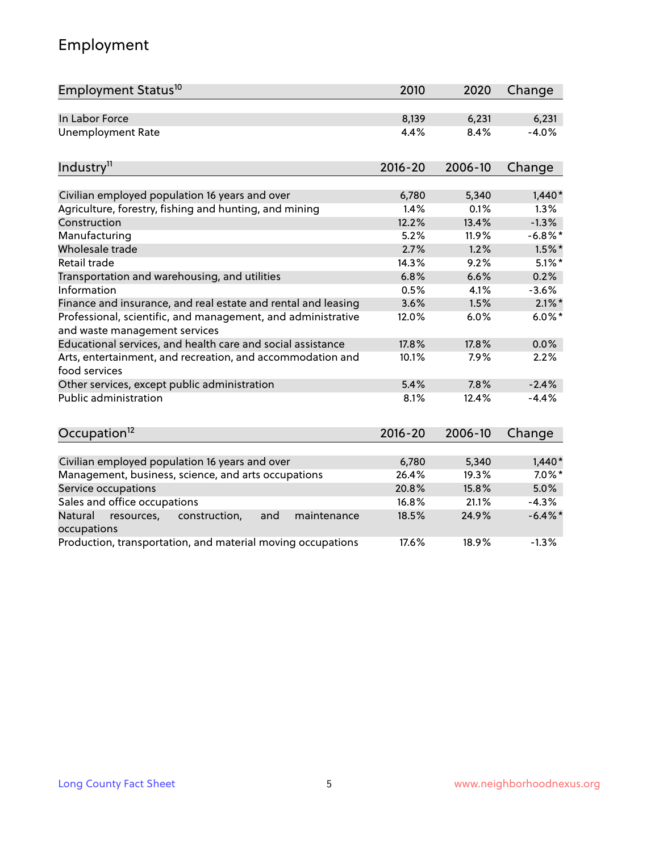# Employment

| Employment Status <sup>10</sup>                                                                          | 2010          | 2020          | Change           |
|----------------------------------------------------------------------------------------------------------|---------------|---------------|------------------|
| In Labor Force                                                                                           | 8,139         | 6,231         | 6,231            |
| <b>Unemployment Rate</b>                                                                                 | 4.4%          | 8.4%          | $-4.0%$          |
| Industry <sup>11</sup>                                                                                   | $2016 - 20$   | 2006-10       | Change           |
|                                                                                                          |               |               |                  |
| Civilian employed population 16 years and over<br>Agriculture, forestry, fishing and hunting, and mining | 6,780<br>1.4% | 5,340<br>0.1% | $1,440*$<br>1.3% |
| Construction                                                                                             | 12.2%         | 13.4%         | $-1.3%$          |
| Manufacturing                                                                                            | 5.2%          | 11.9%         | $-6.8\%$ *       |
| Wholesale trade                                                                                          | 2.7%          | 1.2%          | $1.5\%$ *        |
| Retail trade                                                                                             | 14.3%         | 9.2%          | $5.1\%$ *        |
| Transportation and warehousing, and utilities                                                            | 6.8%          | 6.6%          | 0.2%             |
| Information                                                                                              | 0.5%          | 4.1%          | $-3.6%$          |
| Finance and insurance, and real estate and rental and leasing                                            | 3.6%          | 1.5%          | $2.1\%$ *        |
| Professional, scientific, and management, and administrative<br>and waste management services            | 12.0%         | 6.0%          | $6.0\%$ *        |
| Educational services, and health care and social assistance                                              | 17.8%         | 17.8%         | 0.0%             |
| Arts, entertainment, and recreation, and accommodation and<br>food services                              | 10.1%         | 7.9%          | 2.2%             |
| Other services, except public administration                                                             | 5.4%          | 7.8%          | $-2.4%$          |
| Public administration                                                                                    | 8.1%          | 12.4%         | $-4.4%$          |
| Occupation <sup>12</sup>                                                                                 | $2016 - 20$   | 2006-10       | Change           |
|                                                                                                          |               |               |                  |
| Civilian employed population 16 years and over                                                           | 6,780         | 5,340         | $1,440*$         |
| Management, business, science, and arts occupations                                                      | 26.4%         | 19.3%         | $7.0\%$ *        |
| Service occupations                                                                                      | 20.8%         | 15.8%         | 5.0%             |
| Sales and office occupations                                                                             | 16.8%         | 21.1%         | $-4.3%$          |
| Natural<br>construction,<br>and<br>maintenance<br>resources,<br>occupations                              | 18.5%         | 24.9%         | $-6.4\%$ *       |
| Production, transportation, and material moving occupations                                              | 17.6%         | 18.9%         | $-1.3%$          |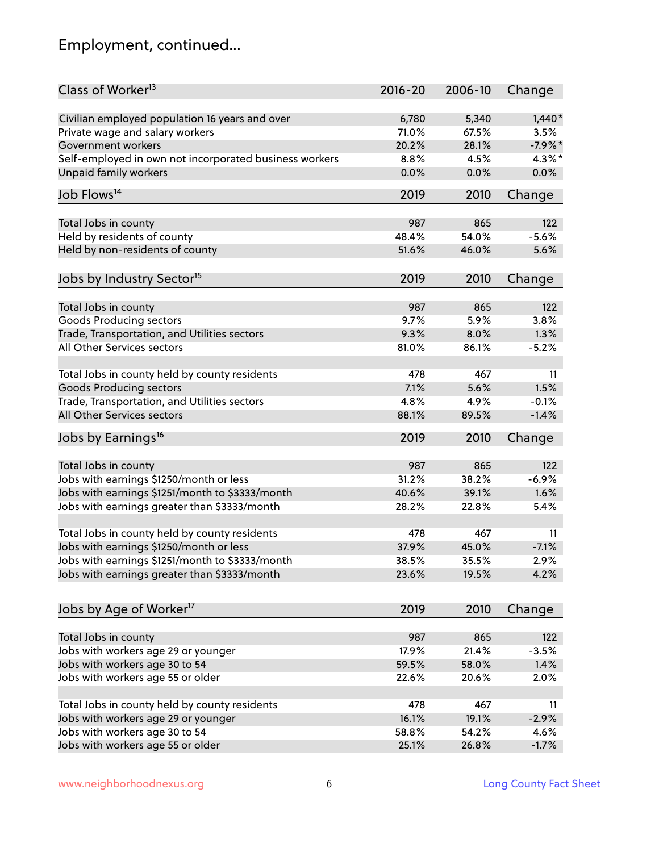# Employment, continued...

| Class of Worker <sup>13</sup>                          | $2016 - 20$ | 2006-10      | Change         |
|--------------------------------------------------------|-------------|--------------|----------------|
| Civilian employed population 16 years and over         | 6,780       | 5,340        | $1,440*$       |
| Private wage and salary workers                        | 71.0%       | 67.5%        | 3.5%           |
| Government workers                                     | 20.2%       | 28.1%        | $-7.9%$ *      |
| Self-employed in own not incorporated business workers | 8.8%        | 4.5%         | 4.3%*          |
| <b>Unpaid family workers</b>                           | 0.0%        | 0.0%         | 0.0%           |
| Job Flows <sup>14</sup>                                | 2019        | 2010         | Change         |
|                                                        |             |              |                |
| Total Jobs in county                                   | 987         | 865<br>54.0% | 122<br>$-5.6%$ |
| Held by residents of county                            | 48.4%       |              |                |
| Held by non-residents of county                        | 51.6%       | 46.0%        | 5.6%           |
| Jobs by Industry Sector <sup>15</sup>                  | 2019        | 2010         | Change         |
| Total Jobs in county                                   | 987         | 865          | 122            |
| <b>Goods Producing sectors</b>                         | 9.7%        | 5.9%         | 3.8%           |
| Trade, Transportation, and Utilities sectors           | 9.3%        | 8.0%         | 1.3%           |
| All Other Services sectors                             | 81.0%       | 86.1%        | $-5.2%$        |
|                                                        |             |              |                |
| Total Jobs in county held by county residents          | 478         | 467          | 11             |
| <b>Goods Producing sectors</b>                         | 7.1%        | 5.6%         | 1.5%           |
| Trade, Transportation, and Utilities sectors           | 4.8%        | 4.9%         | $-0.1%$        |
| All Other Services sectors                             | 88.1%       | 89.5%        | $-1.4%$        |
| Jobs by Earnings <sup>16</sup>                         | 2019        | 2010         | Change         |
| Total Jobs in county                                   | 987         | 865          | 122            |
| Jobs with earnings \$1250/month or less                | 31.2%       | 38.2%        | $-6.9%$        |
| Jobs with earnings \$1251/month to \$3333/month        | 40.6%       | 39.1%        | 1.6%           |
|                                                        | 28.2%       |              |                |
| Jobs with earnings greater than \$3333/month           |             | 22.8%        | 5.4%           |
| Total Jobs in county held by county residents          | 478         | 467          | 11             |
| Jobs with earnings \$1250/month or less                | 37.9%       | 45.0%        | $-7.1%$        |
| Jobs with earnings \$1251/month to \$3333/month        | 38.5%       | 35.5%        | 2.9%           |
| Jobs with earnings greater than \$3333/month           | 23.6%       | 19.5%        | 4.2%           |
| Jobs by Age of Worker <sup>17</sup>                    | 2019        | 2010         | Change         |
|                                                        |             |              |                |
| Total Jobs in county                                   | 987         | 865          | 122            |
| Jobs with workers age 29 or younger                    | 17.9%       | 21.4%        | $-3.5%$        |
| Jobs with workers age 30 to 54                         | 59.5%       | 58.0%        | 1.4%           |
| Jobs with workers age 55 or older                      | 22.6%       | 20.6%        | 2.0%           |
|                                                        |             |              |                |
| Total Jobs in county held by county residents          | 478         | 467          | 11             |
| Jobs with workers age 29 or younger                    | 16.1%       | 19.1%        | $-2.9%$        |
| Jobs with workers age 30 to 54                         | 58.8%       | 54.2%        | 4.6%           |
| Jobs with workers age 55 or older                      | 25.1%       | 26.8%        | $-1.7%$        |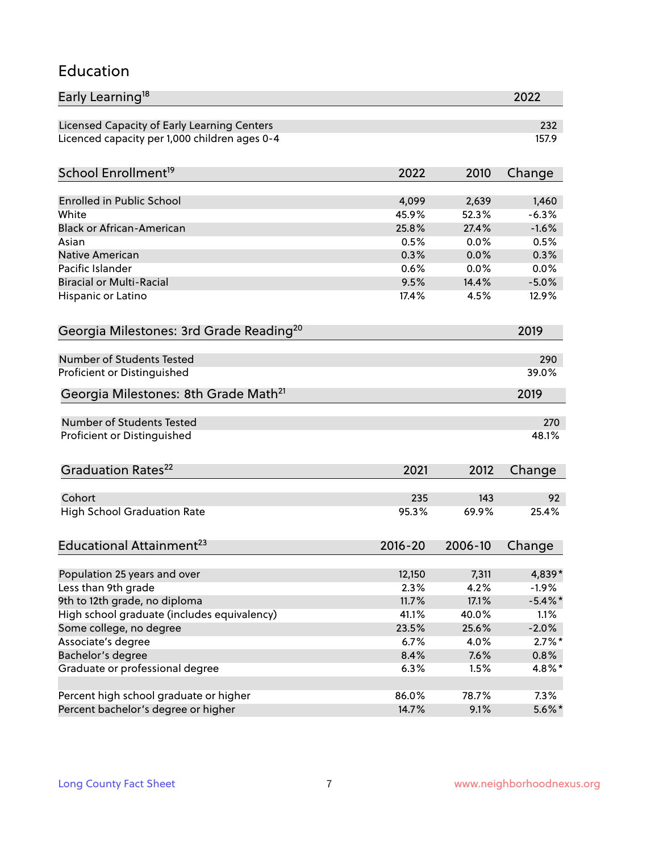#### Education

| Early Learning <sup>18</sup>                        |               |               | 2022            |
|-----------------------------------------------------|---------------|---------------|-----------------|
| Licensed Capacity of Early Learning Centers         |               |               | 232             |
| Licenced capacity per 1,000 children ages 0-4       |               |               | 157.9           |
| School Enrollment <sup>19</sup>                     | 2022          | 2010          | Change          |
|                                                     |               |               |                 |
| <b>Enrolled in Public School</b>                    | 4,099         | 2,639         | 1,460           |
| White                                               | 45.9%         | 52.3%         | $-6.3%$         |
| <b>Black or African-American</b><br>Asian           | 25.8%<br>0.5% | 27.4%<br>0.0% | $-1.6%$<br>0.5% |
|                                                     |               |               | 0.3%            |
| Native American<br>Pacific Islander                 | 0.3%          | 0.0%          |                 |
| <b>Biracial or Multi-Racial</b>                     | 0.6%<br>9.5%  | 0.0%<br>14.4% | 0.0%<br>$-5.0%$ |
|                                                     |               | 4.5%          |                 |
| Hispanic or Latino                                  | 17.4%         |               | 12.9%           |
| Georgia Milestones: 3rd Grade Reading <sup>20</sup> |               |               | 2019            |
| Number of Students Tested                           |               |               |                 |
|                                                     |               |               | 290             |
| Proficient or Distinguished                         |               |               | 39.0%           |
| Georgia Milestones: 8th Grade Math <sup>21</sup>    |               |               | 2019            |
| <b>Number of Students Tested</b>                    |               |               | 270             |
| Proficient or Distinguished                         |               |               | 48.1%           |
| Graduation Rates <sup>22</sup>                      | 2021          | 2012          | Change          |
|                                                     |               |               |                 |
| Cohort                                              | 235           | 143           | 92              |
| <b>High School Graduation Rate</b>                  | 95.3%         | 69.9%         | 25.4%           |
| Educational Attainment <sup>23</sup>                | $2016 - 20$   | 2006-10       | Change          |
| Population 25 years and over                        | 12,150        | 7,311         | 4,839*          |
| Less than 9th grade                                 | 2.3%          | 4.2%          | $-1.9%$         |
| 9th to 12th grade, no diploma                       | 11.7%         | 17.1%         | $-5.4\%$ *      |
| High school graduate (includes equivalency)         | 41.1%         | 40.0%         | 1.1%            |
| Some college, no degree                             | 23.5%         | 25.6%         | $-2.0%$         |
| Associate's degree                                  | 6.7%          | 4.0%          | $2.7\%$ *       |
| Bachelor's degree                                   | 8.4%          | 7.6%          |                 |
|                                                     |               |               | $0.8\%$         |
| Graduate or professional degree                     | 6.3%          | 1.5%          | 4.8%*           |
| Percent high school graduate or higher              | 86.0%         | 78.7%         | 7.3%            |
| Percent bachelor's degree or higher                 | 14.7%         | 9.1%          | $5.6\%$ *       |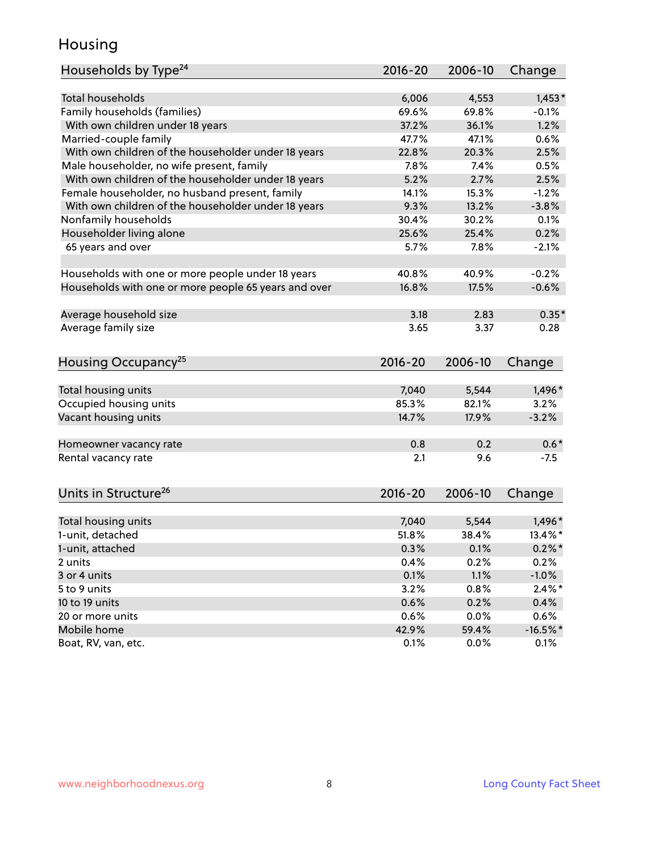### Housing

| Households by Type <sup>24</sup>                     | 2016-20     | 2006-10 | Change     |
|------------------------------------------------------|-------------|---------|------------|
|                                                      |             |         |            |
| <b>Total households</b>                              | 6,006       | 4,553   | $1,453*$   |
| Family households (families)                         | 69.6%       | 69.8%   | $-0.1%$    |
| With own children under 18 years                     | 37.2%       | 36.1%   | 1.2%       |
| Married-couple family                                | 47.7%       | 47.1%   | 0.6%       |
| With own children of the householder under 18 years  | 22.8%       | 20.3%   | 2.5%       |
| Male householder, no wife present, family            | 7.8%        | 7.4%    | 0.5%       |
| With own children of the householder under 18 years  | 5.2%        | 2.7%    | 2.5%       |
| Female householder, no husband present, family       | 14.1%       | 15.3%   | $-1.2%$    |
| With own children of the householder under 18 years  | 9.3%        | 13.2%   | $-3.8%$    |
| Nonfamily households                                 | 30.4%       | 30.2%   | 0.1%       |
| Householder living alone                             | 25.6%       | 25.4%   | 0.2%       |
| 65 years and over                                    | 5.7%        | 7.8%    | $-2.1%$    |
|                                                      |             |         |            |
| Households with one or more people under 18 years    | 40.8%       | 40.9%   | $-0.2%$    |
| Households with one or more people 65 years and over | 16.8%       | 17.5%   | $-0.6%$    |
|                                                      |             |         |            |
| Average household size                               | 3.18        | 2.83    | $0.35*$    |
| Average family size                                  | 3.65        | 3.37    | 0.28       |
|                                                      |             |         |            |
| Housing Occupancy <sup>25</sup>                      | $2016 - 20$ | 2006-10 | Change     |
|                                                      |             |         |            |
| Total housing units                                  | 7,040       | 5,544   | 1,496*     |
| Occupied housing units                               | 85.3%       | 82.1%   | 3.2%       |
| Vacant housing units                                 | 14.7%       | 17.9%   | $-3.2%$    |
|                                                      |             |         |            |
| Homeowner vacancy rate                               | 0.8         | 0.2     | $0.6*$     |
| Rental vacancy rate                                  | 2.1         | 9.6     | $-7.5$     |
|                                                      |             |         |            |
| Units in Structure <sup>26</sup>                     | 2016-20     | 2006-10 |            |
|                                                      |             |         | Change     |
| Total housing units                                  | 7,040       | 5,544   | 1,496*     |
| 1-unit, detached                                     | 51.8%       | 38.4%   | 13.4%*     |
| 1-unit, attached                                     | 0.3%        | 0.1%    | $0.2\% *$  |
| 2 units                                              | 0.4%        | 0.2%    | 0.2%       |
| 3 or 4 units                                         | 0.1%        | 1.1%    | $-1.0%$    |
| 5 to 9 units                                         | 3.2%        | 0.8%    | $2.4\%$ *  |
| 10 to 19 units                                       | 0.6%        | 0.2%    | 0.4%       |
|                                                      | 0.6%        | 0.0%    | 0.6%       |
| 20 or more units                                     |             |         |            |
| Mobile home                                          | 42.9%       | 59.4%   | $-16.5%$ * |
| Boat, RV, van, etc.                                  | 0.1%        | $0.0\%$ | 0.1%       |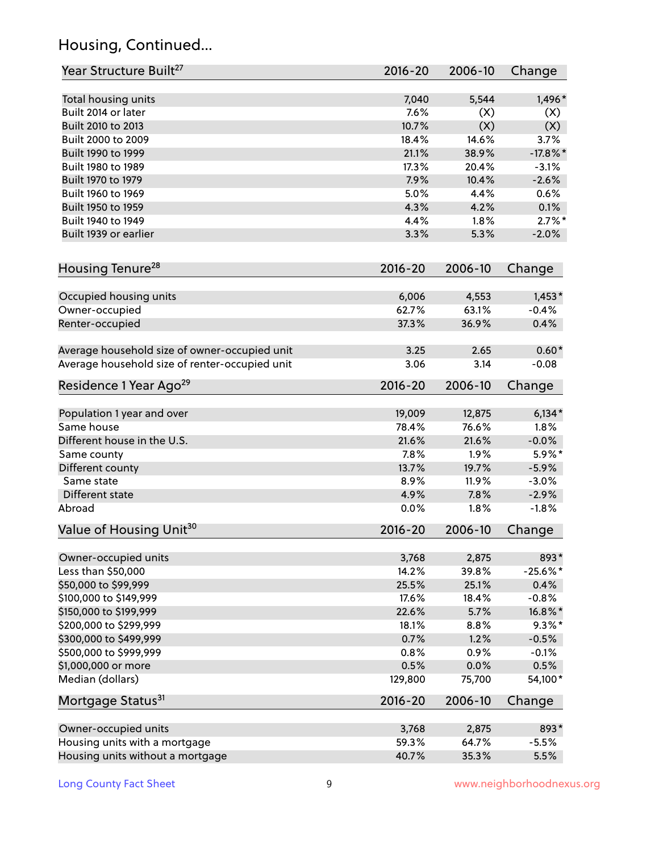# Housing, Continued...

| Year Structure Built <sup>27</sup>             | 2016-20     | 2006-10 | Change      |
|------------------------------------------------|-------------|---------|-------------|
| Total housing units                            | 7,040       | 5,544   | 1,496*      |
| Built 2014 or later                            | 7.6%        | (X)     | (X)         |
| Built 2010 to 2013                             | 10.7%       | (X)     | (X)         |
| Built 2000 to 2009                             | 18.4%       | 14.6%   | 3.7%        |
| Built 1990 to 1999                             | 21.1%       | 38.9%   | $-17.8\%$ * |
| Built 1980 to 1989                             | 17.3%       | 20.4%   | $-3.1%$     |
| Built 1970 to 1979                             | 7.9%        | 10.4%   | $-2.6%$     |
| Built 1960 to 1969                             | 5.0%        | 4.4%    | 0.6%        |
| Built 1950 to 1959                             | 4.3%        | 4.2%    | 0.1%        |
| Built 1940 to 1949                             | 4.4%        | 1.8%    | $2.7\%$ *   |
| Built 1939 or earlier                          | 3.3%        | 5.3%    | $-2.0%$     |
| Housing Tenure <sup>28</sup>                   | $2016 - 20$ | 2006-10 | Change      |
| Occupied housing units                         | 6,006       | 4,553   | $1,453*$    |
| Owner-occupied                                 | 62.7%       | 63.1%   | $-0.4%$     |
| Renter-occupied                                | 37.3%       | 36.9%   | 0.4%        |
| Average household size of owner-occupied unit  | 3.25        | 2.65    | $0.60*$     |
| Average household size of renter-occupied unit | 3.06        | 3.14    | $-0.08$     |
| Residence 1 Year Ago <sup>29</sup>             | $2016 - 20$ | 2006-10 | Change      |
| Population 1 year and over                     | 19,009      | 12,875  | $6,134*$    |
| Same house                                     | 78.4%       | 76.6%   | 1.8%        |
| Different house in the U.S.                    | 21.6%       | 21.6%   | $-0.0%$     |
| Same county                                    | 7.8%        | 1.9%    | 5.9%*       |
| Different county                               | 13.7%       | 19.7%   | $-5.9%$     |
| Same state                                     | 8.9%        | 11.9%   | $-3.0%$     |
| Different state                                | 4.9%        | 7.8%    | $-2.9%$     |
| Abroad                                         | 0.0%        | 1.8%    | $-1.8%$     |
| Value of Housing Unit <sup>30</sup>            | $2016 - 20$ | 2006-10 | Change      |
| Owner-occupied units                           | 3,768       | 2,875   | 893*        |
| Less than \$50,000                             | 14.2%       | 39.8%   | $-25.6\%$ * |
| \$50,000 to \$99,999                           | 25.5%       | 25.1%   | 0.4%        |
| \$100,000 to \$149,999                         | 17.6%       | 18.4%   | $-0.8%$     |
| \$150,000 to \$199,999                         | 22.6%       | 5.7%    | 16.8%*      |
| \$200,000 to \$299,999                         | 18.1%       | 8.8%    | $9.3\%$ *   |
| \$300,000 to \$499,999                         | 0.7%        | 1.2%    | $-0.5%$     |
| \$500,000 to \$999,999                         | 0.8%        | 0.9%    | $-0.1%$     |
| \$1,000,000 or more                            | 0.5%        | 0.0%    | 0.5%        |
| Median (dollars)                               | 129,800     | 75,700  | 54,100*     |
| Mortgage Status <sup>31</sup>                  | $2016 - 20$ | 2006-10 | Change      |
| Owner-occupied units                           | 3,768       | 2,875   | 893*        |
| Housing units with a mortgage                  | 59.3%       | 64.7%   | $-5.5%$     |
| Housing units without a mortgage               | 40.7%       | 35.3%   | 5.5%        |
|                                                |             |         |             |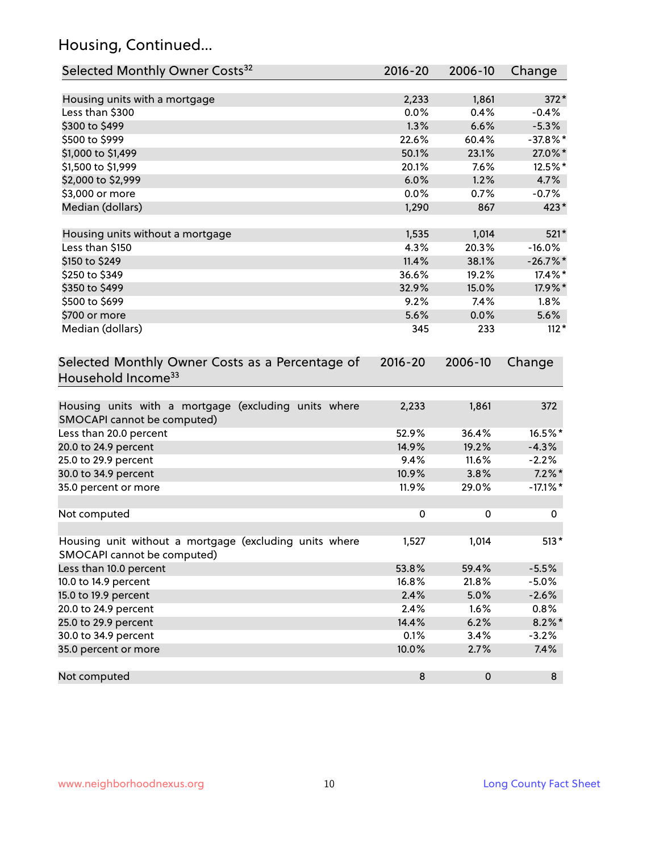# Housing, Continued...

| Selected Monthly Owner Costs <sup>32</sup>                                            | 2016-20     | 2006-10   | Change      |
|---------------------------------------------------------------------------------------|-------------|-----------|-------------|
| Housing units with a mortgage                                                         | 2,233       | 1,861     | 372*        |
| Less than \$300                                                                       | 0.0%        | 0.4%      | $-0.4%$     |
| \$300 to \$499                                                                        | 1.3%        | 6.6%      | $-5.3%$     |
| \$500 to \$999                                                                        | 22.6%       | 60.4%     | $-37.8\%$ * |
| \$1,000 to \$1,499                                                                    | 50.1%       | 23.1%     | 27.0%*      |
| \$1,500 to \$1,999                                                                    | 20.1%       | 7.6%      | 12.5%*      |
| \$2,000 to \$2,999                                                                    | 6.0%        | 1.2%      | 4.7%        |
| \$3,000 or more                                                                       | 0.0%        | 0.7%      | $-0.7%$     |
| Median (dollars)                                                                      | 1,290       | 867       | $423*$      |
| Housing units without a mortgage                                                      | 1,535       | 1,014     | 521*        |
| Less than \$150                                                                       | 4.3%        | 20.3%     | $-16.0%$    |
| \$150 to \$249                                                                        | 11.4%       | 38.1%     | $-26.7\%$ * |
| \$250 to \$349                                                                        | 36.6%       | 19.2%     | 17.4%*      |
| \$350 to \$499                                                                        | 32.9%       | 15.0%     | 17.9%*      |
| \$500 to \$699                                                                        | 9.2%        | 7.4%      | $1.8\%$     |
| \$700 or more                                                                         | 5.6%        | 0.0%      | 5.6%        |
| Median (dollars)                                                                      | 345         | 233       | $112*$      |
| Selected Monthly Owner Costs as a Percentage of<br>Household Income <sup>33</sup>     | $2016 - 20$ | 2006-10   | Change      |
| Housing units with a mortgage (excluding units where<br>SMOCAPI cannot be computed)   | 2,233       | 1,861     | 372         |
| Less than 20.0 percent                                                                | 52.9%       | 36.4%     | 16.5%*      |
| 20.0 to 24.9 percent                                                                  | 14.9%       | 19.2%     | $-4.3%$     |
| 25.0 to 29.9 percent                                                                  | 9.4%        | 11.6%     | $-2.2%$     |
| 30.0 to 34.9 percent                                                                  | 10.9%       | 3.8%      | $7.2\%$ *   |
| 35.0 percent or more                                                                  | 11.9%       | 29.0%     | $-17.1\%$ * |
| Not computed                                                                          | $\pmb{0}$   | 0         | 0           |
| Housing unit without a mortgage (excluding units where<br>SMOCAPI cannot be computed) | 1,527       | 1,014     | $513*$      |
| Less than 10.0 percent                                                                | 53.8%       | 59.4%     | $-5.5%$     |
| 10.0 to 14.9 percent                                                                  | 16.8%       | 21.8%     | $-5.0%$     |
| 15.0 to 19.9 percent                                                                  | 2.4%        | 5.0%      | $-2.6%$     |
| 20.0 to 24.9 percent                                                                  | 2.4%        | 1.6%      | 0.8%        |
| 25.0 to 29.9 percent                                                                  | 14.4%       | 6.2%      | $8.2\%$ *   |
| 30.0 to 34.9 percent                                                                  | 0.1%        | 3.4%      | $-3.2%$     |
| 35.0 percent or more                                                                  | 10.0%       | 2.7%      | 7.4%        |
| Not computed                                                                          | $\bf 8$     | $\pmb{0}$ | 8           |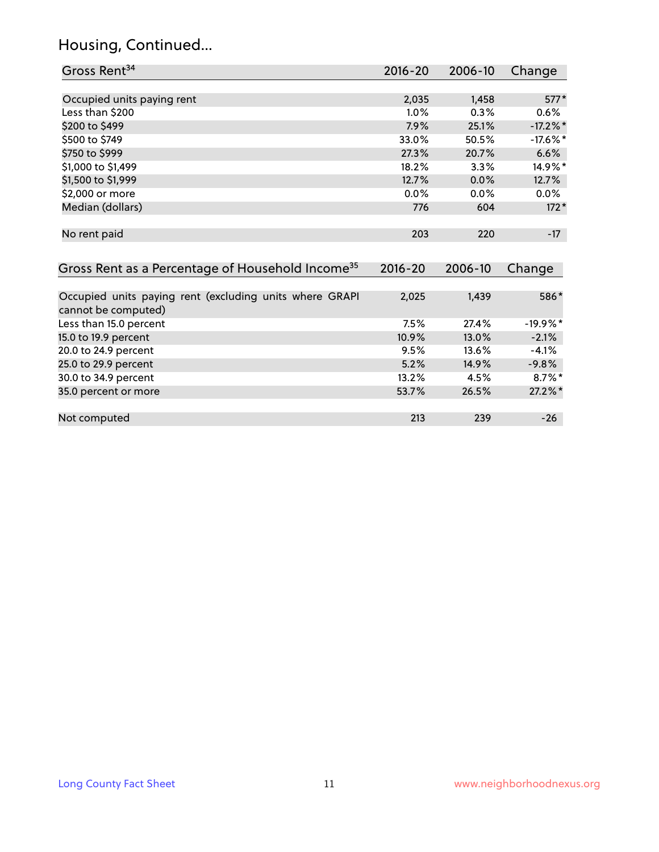# Housing, Continued...

| Gross Rent <sup>34</sup>                                     | $2016 - 20$ | 2006-10 | Change      |
|--------------------------------------------------------------|-------------|---------|-------------|
|                                                              |             |         |             |
| Occupied units paying rent                                   | 2,035       | 1,458   | $577*$      |
| Less than \$200                                              | 1.0%        | 0.3%    | 0.6%        |
| \$200 to \$499                                               | 7.9%        | 25.1%   | $-17.2\%$ * |
| \$500 to \$749                                               | 33.0%       | 50.5%   | $-17.6\%$ * |
| \$750 to \$999                                               | 27.3%       | 20.7%   | 6.6%        |
| \$1,000 to \$1,499                                           | 18.2%       | 3.3%    | 14.9%*      |
| \$1,500 to \$1,999                                           | 12.7%       | 0.0%    | 12.7%       |
| \$2,000 or more                                              | 0.0%        | 0.0%    | $0.0\%$     |
| Median (dollars)                                             | 776         | 604     | $172*$      |
|                                                              |             |         |             |
| No rent paid                                                 | 203         | 220     | $-17$       |
|                                                              |             |         |             |
| Gross Rent as a Percentage of Household Income <sup>35</sup> | $2016 - 20$ | 2006-10 | Change      |
|                                                              |             |         |             |
| Occupied units paying rent (excluding units where GRAPI      | 2,025       | 1,439   | 586*        |
| cannot be computed)                                          |             |         |             |
| Less than 15.0 percent                                       | 7.5%        | 27.4%   | $-19.9%$ *  |
| 15.0 to 19.9 percent                                         | 10.9%       | 13.0%   | $-2.1%$     |
| 20.0 to 24.9 percent                                         | 9.5%        | 13.6%   | $-4.1%$     |
| 25.0 to 29.9 percent                                         | 5.2%        | 14.9%   | $-9.8%$     |
| 30.0 to 34.9 percent                                         | 13.2%       | 4.5%    | $8.7\%$ *   |
| 35.0 percent or more                                         | 53.7%       | 26.5%   | 27.2%*      |
|                                                              |             |         |             |

| Not computed | 212 | つつC | 76 |
|--------------|-----|-----|----|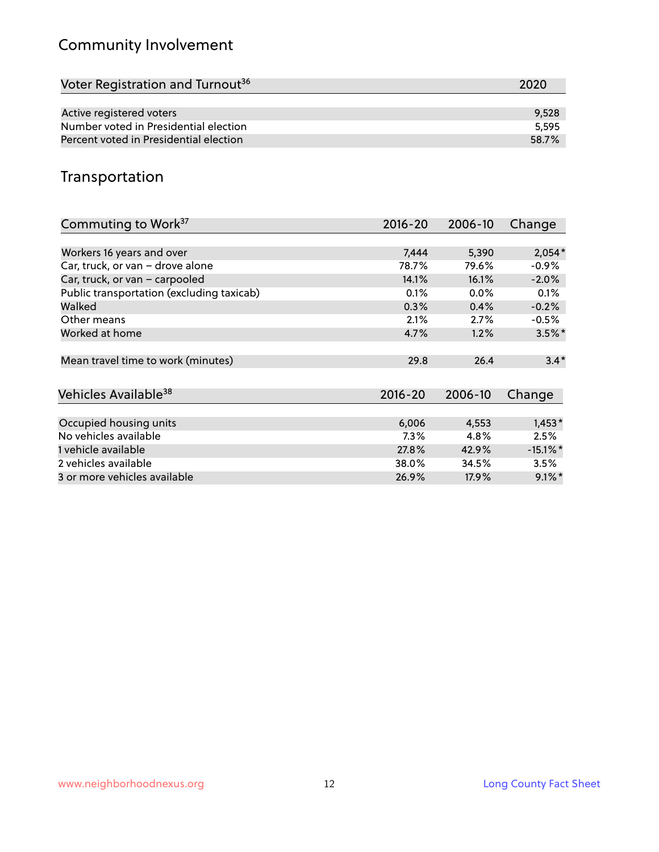# Community Involvement

| Voter Registration and Turnout <sup>36</sup> | 2020  |
|----------------------------------------------|-------|
|                                              |       |
| Active registered voters                     | 9,528 |
| Number voted in Presidential election        | 5.595 |
| Percent voted in Presidential election       | 58.7% |

## Transportation

| Commuting to Work <sup>37</sup>           | 2016-20     | 2006-10 | Change               |
|-------------------------------------------|-------------|---------|----------------------|
|                                           |             |         |                      |
| Workers 16 years and over                 | 7,444       | 5,390   | $2,054*$             |
| Car, truck, or van - drove alone          | 78.7%       | 79.6%   | $-0.9%$              |
| Car, truck, or van - carpooled            | 14.1%       | 16.1%   | $-2.0%$              |
| Public transportation (excluding taxicab) | 0.1%        | $0.0\%$ | 0.1%                 |
| Walked                                    | 0.3%        | 0.4%    | $-0.2%$              |
| Other means                               | 2.1%        | 2.7%    | $-0.5%$              |
| Worked at home                            | 4.7%        | 1.2%    | $3.5\%$ *            |
|                                           |             |         |                      |
| Mean travel time to work (minutes)        | 29.8        | 26.4    | $3.4*$               |
|                                           |             |         |                      |
| Vehicles Available <sup>38</sup>          | $2016 - 20$ | 2006-10 | Change               |
|                                           |             |         |                      |
| Occupied housing units                    | 6,006       | 4,553   | $1,453*$             |
| No vehicles available                     | $7.3\%$     | 4.8%    | 2.5%                 |
| 1 vehicle available                       | 27.8%       | 42.9%   | $-15.1\%$ *          |
| 2 vehicles available                      | 38.0%       | 34.5%   | 3.5%                 |
| 3 or more vehicles available              | 26.9%       | 17.9%   | $9.1\%$ <sup>*</sup> |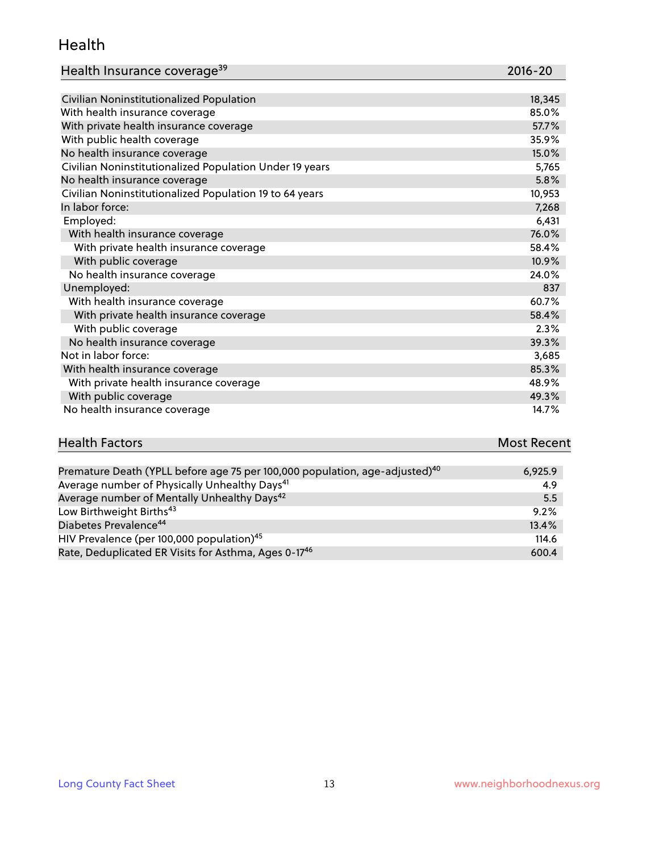#### Health

| Health Insurance coverage <sup>39</sup> | 2016-20 |
|-----------------------------------------|---------|
|-----------------------------------------|---------|

| Civilian Noninstitutionalized Population                | 18,345 |
|---------------------------------------------------------|--------|
| With health insurance coverage                          | 85.0%  |
| With private health insurance coverage                  | 57.7%  |
| With public health coverage                             | 35.9%  |
| No health insurance coverage                            | 15.0%  |
| Civilian Noninstitutionalized Population Under 19 years | 5,765  |
| No health insurance coverage                            | 5.8%   |
| Civilian Noninstitutionalized Population 19 to 64 years | 10,953 |
| In labor force:                                         | 7,268  |
| Employed:                                               | 6,431  |
| With health insurance coverage                          | 76.0%  |
| With private health insurance coverage                  | 58.4%  |
| With public coverage                                    | 10.9%  |
| No health insurance coverage                            | 24.0%  |
| Unemployed:                                             | 837    |
| With health insurance coverage                          | 60.7%  |
| With private health insurance coverage                  | 58.4%  |
| With public coverage                                    | 2.3%   |
| No health insurance coverage                            | 39.3%  |
| Not in labor force:                                     | 3,685  |
| With health insurance coverage                          | 85.3%  |
| With private health insurance coverage                  | 48.9%  |
| With public coverage                                    | 49.3%  |
| No health insurance coverage                            | 14.7%  |

| <b>Health Factors</b> | <b>Most Recent</b> |
|-----------------------|--------------------|
|                       |                    |

| Premature Death (YPLL before age 75 per 100,000 population, age-adjusted) <sup>40</sup> | 6,925.9 |
|-----------------------------------------------------------------------------------------|---------|
| Average number of Physically Unhealthy Days <sup>41</sup>                               | 4.9     |
| Average number of Mentally Unhealthy Days <sup>42</sup>                                 | 5.5     |
| Low Birthweight Births <sup>43</sup>                                                    | 9.2%    |
| Diabetes Prevalence <sup>44</sup>                                                       | 13.4%   |
| HIV Prevalence (per 100,000 population) <sup>45</sup>                                   | 114.6   |
| Rate, Deduplicated ER Visits for Asthma, Ages 0-17 <sup>46</sup>                        | 600.4   |